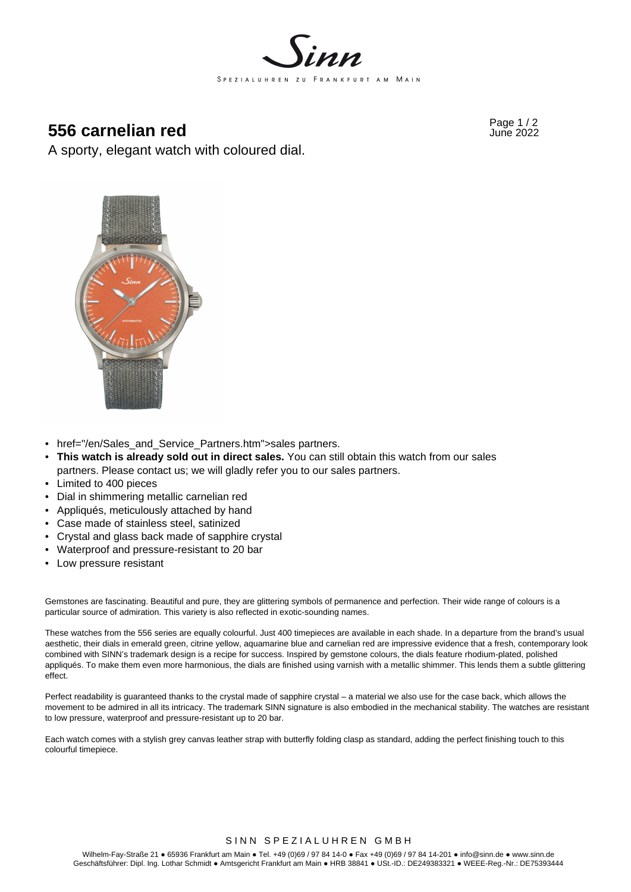

# Page 1 / 2 **556 carnelian red** June 2022

A sporty, elegant watch with coloured dial.



- href="/en/Sales\_and\_Service\_Partners.htm">sales partners.
- **This watch is already sold out in direct sales.** You can still obtain this watch from our sales partners. Please contact us; we will gladly refer you to our sales partners.
- Limited to 400 pieces
- Dial in shimmering metallic carnelian red
- Appliqués, meticulously attached by hand
- Case made of stainless steel, satinized
- Crystal and glass back made of sapphire crystal
- Waterproof and pressure-resistant to 20 bar
- Low pressure resistant

Gemstones are fascinating. Beautiful and pure, they are glittering symbols of permanence and perfection. Their wide range of colours is a particular source of admiration. This variety is also reflected in exotic-sounding names.

These watches from the 556 series are equally colourful. Just 400 timepieces are available in each shade. In a departure from the brand's usual aesthetic, their dials in emerald green, citrine yellow, aquamarine blue and carnelian red are impressive evidence that a fresh, contemporary look combined with SINN's trademark design is a recipe for success. Inspired by gemstone colours, the dials feature rhodium-plated, polished appliqués. To make them even more harmonious, the dials are finished using varnish with a metallic shimmer. This lends them a subtle glittering effect.

Perfect readability is guaranteed thanks to the crystal made of sapphire crystal – a material we also use for the case back, which allows the movement to be admired in all its intricacy. The trademark SINN signature is also embodied in the mechanical stability. The watches are resistant to low pressure, waterproof and pressure-resistant up to 20 bar.

Each watch comes with a stylish grey canvas leather strap with butterfly folding clasp as standard, adding the perfect finishing touch to this colourful timepiece.